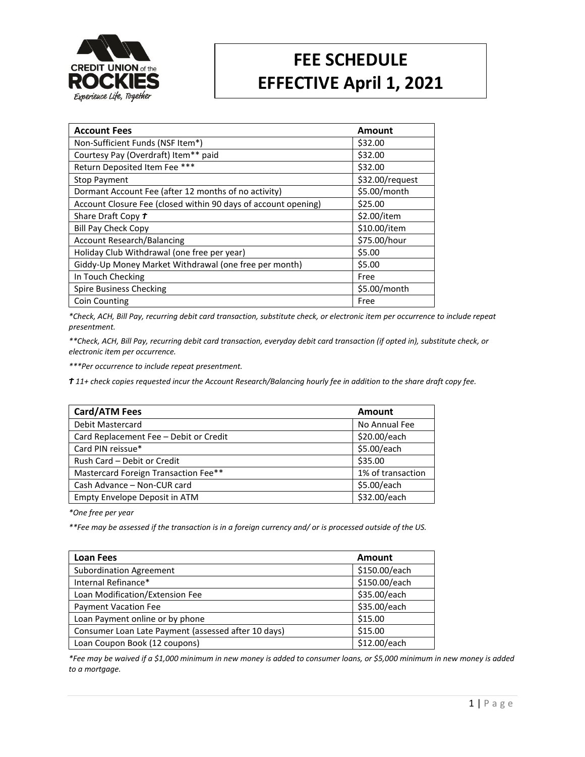

## **FEE SCHEDULE EFFECTIVE April 1, 2021**

| <b>Account Fees</b>                                            | Amount          |
|----------------------------------------------------------------|-----------------|
| Non-Sufficient Funds (NSF Item*)                               | \$32.00         |
| Courtesy Pay (Overdraft) Item** paid                           | \$32.00         |
| Return Deposited Item Fee ***                                  | \$32.00         |
| <b>Stop Payment</b>                                            | \$32.00/request |
| Dormant Account Fee (after 12 months of no activity)           | \$5.00/month    |
| Account Closure Fee (closed within 90 days of account opening) | \$25.00         |
| Share Draft Copy t                                             | \$2.00/item     |
| <b>Bill Pay Check Copy</b>                                     | \$10.00/item    |
| <b>Account Research/Balancing</b>                              | \$75.00/hour    |
| Holiday Club Withdrawal (one free per year)                    | \$5.00          |
| Giddy-Up Money Market Withdrawal (one free per month)          | \$5.00          |
| In Touch Checking                                              | Free            |
| <b>Spire Business Checking</b>                                 | $$5.00/m$ onth  |
| <b>Coin Counting</b>                                           | Free            |

*\*Check, ACH, Bill Pay, recurring debit card transaction, substitute check, or electronic item per occurrence to include repeat presentment.*

*\*\*Check, ACH, Bill Pay, recurring debit card transaction, everyday debit card transaction (if opted in), substitute check, or electronic item per occurrence.*

*\*\*\*Per occurrence to include repeat presentment.*

*Ϯ 11+ check copies requested incur the Account Research/Balancing hourly fee in addition to the share draft copy fee.*

| Card/ATM Fees                          | <b>Amount</b>     |
|----------------------------------------|-------------------|
| Debit Mastercard                       | No Annual Fee     |
| Card Replacement Fee - Debit or Credit | \$20.00/each      |
| Card PIN reissue*                      | \$5.00/each       |
| Rush Card - Debit or Credit            | \$35.00           |
| Mastercard Foreign Transaction Fee**   | 1% of transaction |
| Cash Advance - Non-CUR card            | \$5.00/each       |
| Empty Envelope Deposit in ATM          | \$32.00/each      |

*\*One free per year*

*\*\*Fee may be assessed if the transaction is in a foreign currency and/ or is processed outside of the US.*

| <b>Loan Fees</b>                                    | Amount        |
|-----------------------------------------------------|---------------|
| <b>Subordination Agreement</b>                      | \$150.00/each |
| Internal Refinance*                                 | \$150.00/each |
| Loan Modification/Extension Fee                     | \$35.00/each  |
| <b>Payment Vacation Fee</b>                         | \$35.00/each  |
| Loan Payment online or by phone                     | \$15.00       |
| Consumer Loan Late Payment (assessed after 10 days) | \$15.00       |
| Loan Coupon Book (12 coupons)                       | \$12.00/each  |

*\*Fee may be waived if a \$1,000 minimum in new money is added to consumer loans, or \$5,000 minimum in new money is added to a mortgage.*